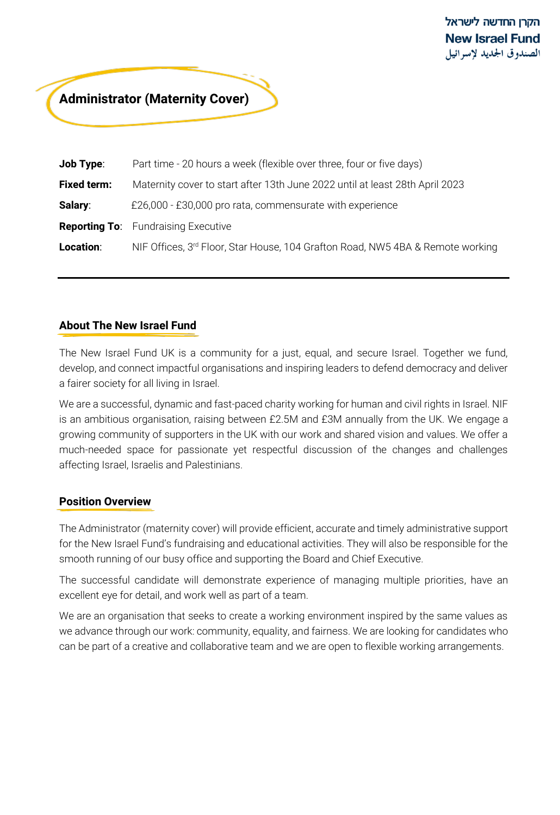# **Administrator (Maternity Cover)**

| <b>Job Type:</b>   | Part time - 20 hours a week (flexible over three, four or five days)                       |
|--------------------|--------------------------------------------------------------------------------------------|
| <b>Fixed term:</b> | Maternity cover to start after 13th June 2022 until at least 28th April 2023               |
| Salary:            | £26,000 - £30,000 pro rata, commensurate with experience                                   |
|                    | <b>Reporting To:</b> Fundraising Executive                                                 |
| Location:          | NIF Offices, 3 <sup>rd</sup> Floor, Star House, 104 Grafton Road, NW5 4BA & Remote working |

# **About The New Israel Fund**

The New Israel Fund UK is a community for a just, equal, and secure Israel. Together we fund, develop, and connect impactful organisations and inspiring leaders to defend democracy and deliver a fairer society for all living in Israel.

We are a successful, dynamic and fast-paced charity working for human and civil rights in Israel. NIF is an ambitious organisation, raising between £2.5M and £3M annually from the UK. We engage a growing community of supporters in the UK with our work and shared vision and values. We offer a much-needed space for passionate yet respectful discussion of the changes and challenges affecting Israel, Israelis and Palestinians.

### **Position Overview**

The Administrator (maternity cover) will provide efficient, accurate and timely administrative support for the New Israel Fund's fundraising and educational activities. They will also be responsible for the smooth running of our busy office and supporting the Board and Chief Executive.

The successful candidate will demonstrate experience of managing multiple priorities, have an excellent eye for detail, and work well as part of a team.

We are an organisation that seeks to create a working environment inspired by the same values as we advance through our work: community, equality, and fairness. We are looking for candidates who can be part of a creative and collaborative team and we are open to flexible working arrangements.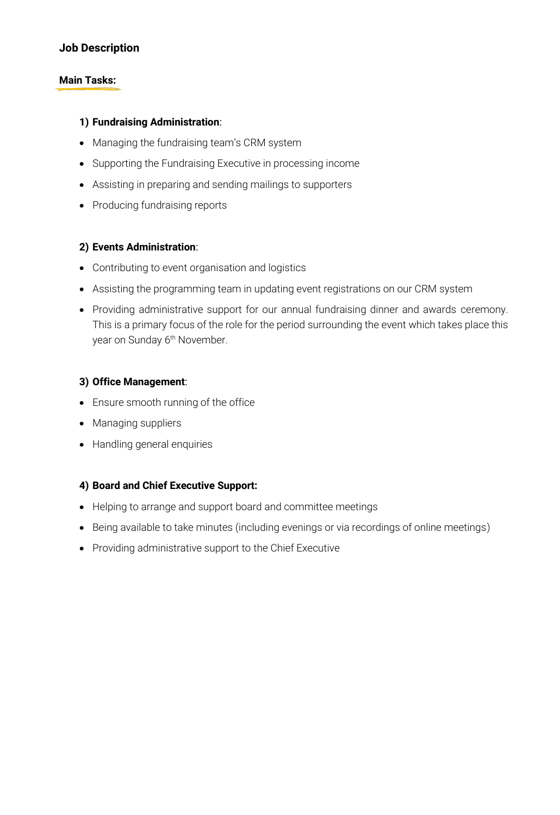## **Job Description**

#### **Main Tasks:**

#### **1) Fundraising Administration**:

- Managing the fundraising team's CRM system
- Supporting the Fundraising Executive in processing income
- Assisting in preparing and sending mailings to supporters
- Producing fundraising reports

### **2) Events Administration**:

- Contributing to event organisation and logistics
- Assisting the programming team in updating event registrations on our CRM system
- Providing administrative support for our annual fundraising dinner and awards ceremony. This is a primary focus of the role for the period surrounding the event which takes place this year on Sunday 6<sup>th</sup> November.

#### **3) Office Management**:

- Ensure smooth running of the office
- Managing suppliers
- Handling general enquiries

#### **4) Board and Chief Executive Support:**

- Helping to arrange and support board and committee meetings
- Being available to take minutes (including evenings or via recordings of online meetings)
- Providing administrative support to the Chief Executive